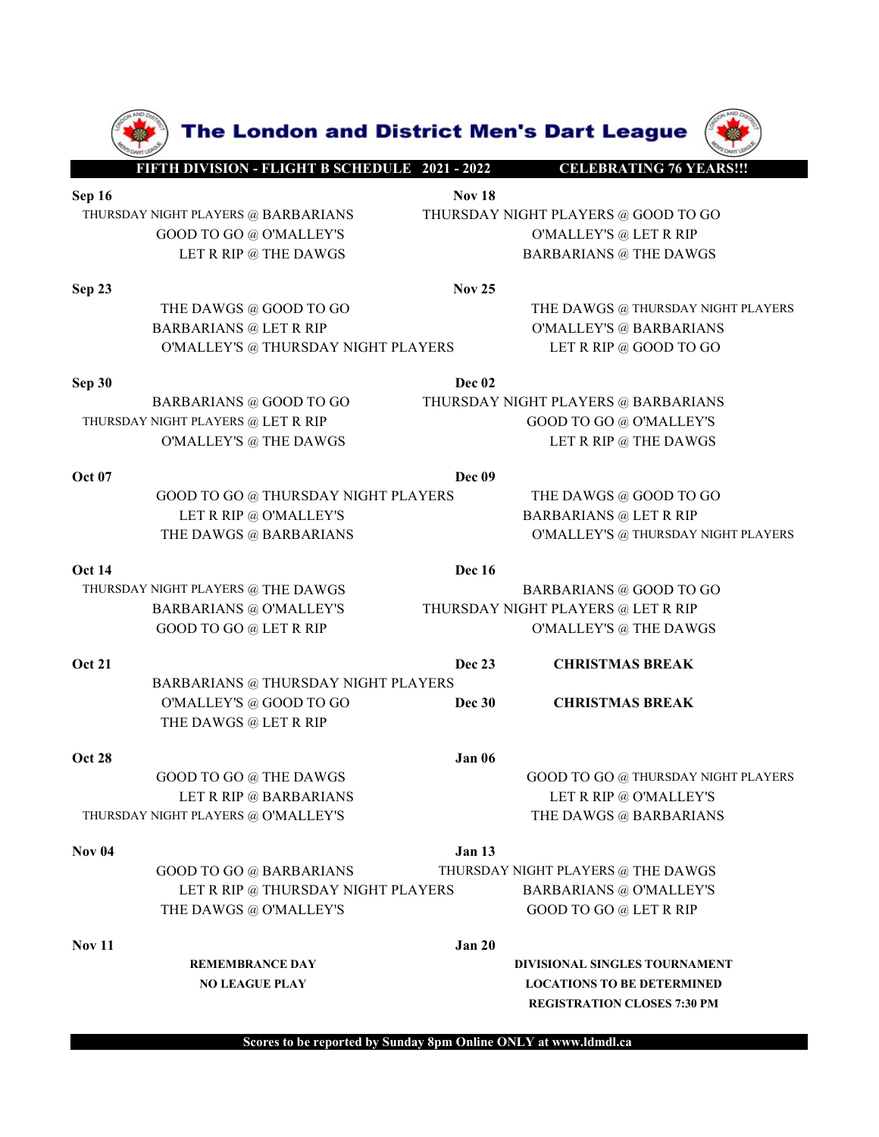

Scores to be reported by Sunday 8pm Online ONLY at www.ldmdl.ca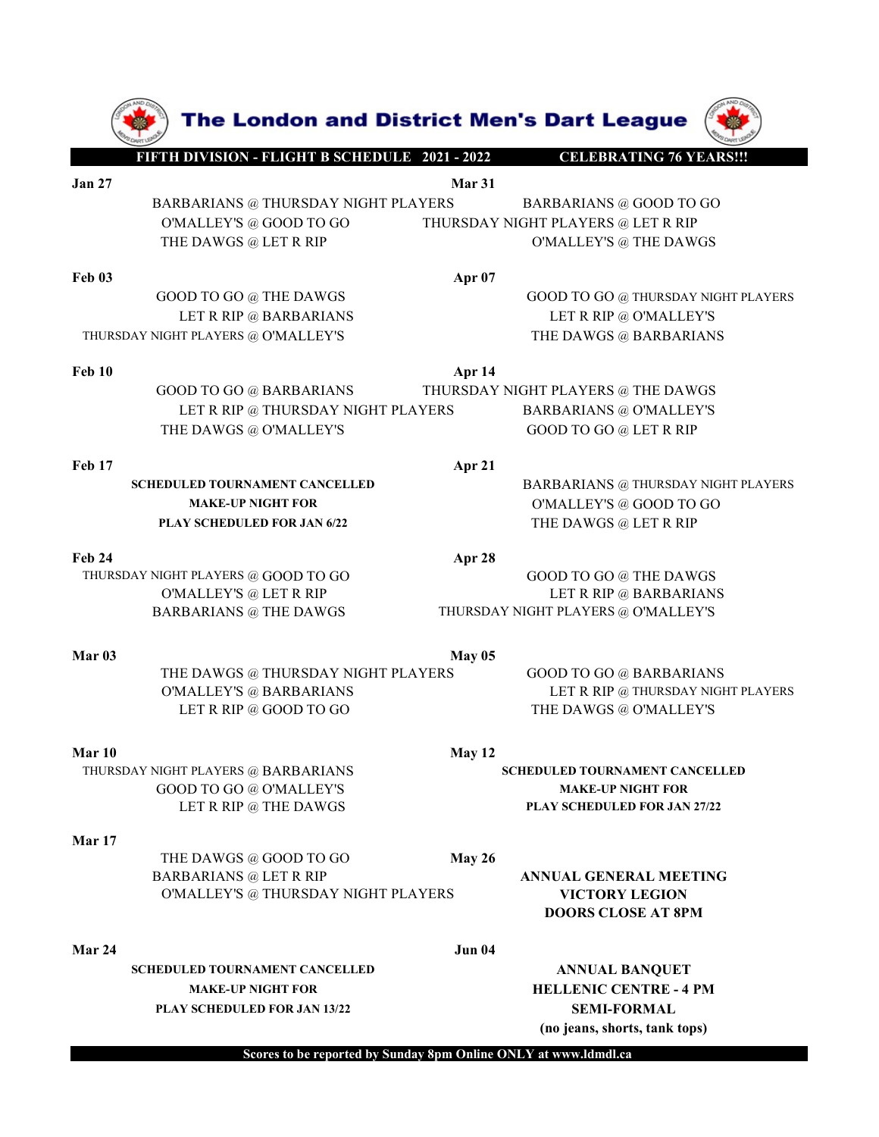|                   | The London and District Men's Dart League                        |               |                                                                      |
|-------------------|------------------------------------------------------------------|---------------|----------------------------------------------------------------------|
|                   | FIFTH DIVISION - FLIGHT B SCHEDULE 2021 - 2022                   |               | <b>CELEBRATING 76 YEARS!!!</b>                                       |
| <b>Jan 27</b>     |                                                                  | Mar 31        |                                                                      |
|                   | BARBARIANS @ THURSDAY NIGHT PLAYERS<br>O'MALLEY'S $@$ GOOD TO GO |               | <b>BARBARIANS @ GOOD TO GO</b><br>THURSDAY NIGHT PLAYERS @ LET R RIP |
|                   | THE DAWGS @ LET R RIP                                            |               | O'MALLEY'S @ THE DAWGS                                               |
| <b>Feb 03</b>     |                                                                  | Apr 07        |                                                                      |
|                   | GOOD TO GO @ THE DAWGS                                           |               | GOOD TO GO @ THURSDAY NIGHT PLAYERS                                  |
|                   | LET R RIP @ BARBARIANS<br>THURSDAY NIGHT PLAYERS @ O'MALLEY'S    |               | LET R RIP @ O'MALLEY'S<br>THE DAWGS @ BARBARIANS                     |
|                   |                                                                  |               |                                                                      |
| <b>Feb 10</b>     | <b>GOOD TO GO @ BARBARIANS</b>                                   | Apr 14        | THURSDAY NIGHT PLAYERS @ THE DAWGS                                   |
|                   | LET R RIP @ THURSDAY NIGHT PLAYERS                               |               | <b>BARBARIANS @ O'MALLEY'S</b>                                       |
|                   | THE DAWGS @ O'MALLEY'S                                           |               | GOOD TO GO @ LET R RIP                                               |
| Feb 17            |                                                                  | Apr 21        |                                                                      |
|                   | <b>SCHEDULED TOURNAMENT CANCELLED</b>                            |               | BARBARIANS @ THURSDAY NIGHT PLAYERS                                  |
|                   | <b>MAKE-UP NIGHT FOR</b><br>PLAY SCHEDULED FOR JAN 6/22          |               | O'MALLEY'S $@$ GOOD TO GO<br>THE DAWGS @ LET R RIP                   |
|                   |                                                                  |               |                                                                      |
| <b>Feb 24</b>     | THURSDAY NIGHT PLAYERS @ GOOD TO GO                              | Apr 28        | GOOD TO GO @ THE DAWGS                                               |
|                   | O'MALLEY'S @ LET R RIP                                           |               | LET R RIP @ BARBARIANS                                               |
|                   | <b>BARBARIANS @ THE DAWGS</b>                                    |               | THURSDAY NIGHT PLAYERS @ O'MALLEY'S                                  |
| Mar <sub>03</sub> |                                                                  | <b>May 05</b> |                                                                      |
|                   | THE DAWGS @ THURSDAY NIGHT PLAYERS                               |               | <b>GOOD TO GO @ BARBARIANS</b>                                       |
|                   | O'MALLEY'S @ BARBARIANS<br>LET R RIP @ GOOD TO GO                |               | LET R RIP @ THURSDAY NIGHT PLAYERS<br>THE DAWGS @ O'MALLEY'S         |
|                   |                                                                  |               |                                                                      |
| Mar 10            | THURSDAY NIGHT PLAYERS @ BARBARIANS                              | May 12        | <b>SCHEDULED TOURNAMENT CANCELLED</b>                                |
|                   | GOOD TO GO @ O'MALLEY'S                                          |               | <b>MAKE-UP NIGHT FOR</b>                                             |
|                   | LET R RIP @ THE DAWGS                                            |               | PLAY SCHEDULED FOR JAN 27/22                                         |
| Mar 17            |                                                                  |               |                                                                      |
|                   | THE DAWGS @ GOOD TO GO<br><b>BARBARIANS @ LET R RIP</b>          | May 26        | ANNUAL GENERAL MEETING                                               |
|                   | O'MALLEY'S @ THURSDAY NIGHT PLAYERS                              |               | <b>VICTORY LEGION</b><br><b>DOORS CLOSE AT 8PM</b>                   |
| Mar 24            |                                                                  | <b>Jun 04</b> |                                                                      |
|                   | SCHEDULED TOURNAMENT CANCELLED                                   |               | <b>ANNUAL BANQUET</b>                                                |
|                   | <b>MAKE-UP NIGHT FOR</b>                                         |               | <b>HELLENIC CENTRE - 4 PM</b>                                        |
|                   | PLAY SCHEDULED FOR JAN 13/22                                     |               | <b>SEMI-FORMAL</b><br>(no jeans, shorts, tank tops)                  |
|                   |                                                                  |               |                                                                      |

Scores to be reported by Sunday 8pm Online ONLY at www.ldmdl.ca